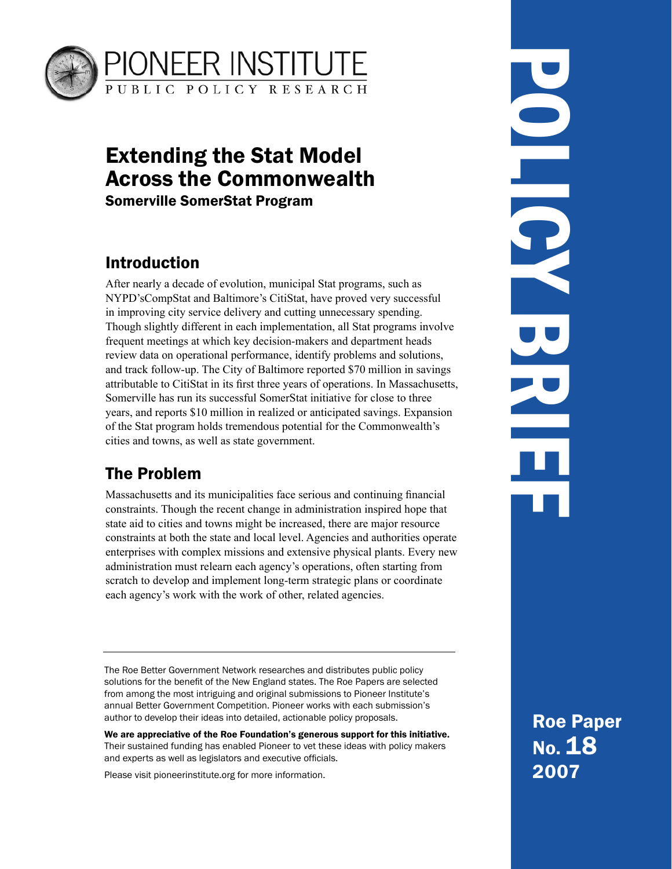

# Extending the Stat Model Across the Commonwealth Somerville SomerStat Program

## Introduction

After nearly a decade of evolution, municipal Stat programs, such as NYPD'sCompStat and Baltimore's CitiStat, have proved very successful in improving city service delivery and cutting unnecessary spending. Though slightly different in each implementation, all Stat programs involve frequent meetings at which key decision-makers and department heads review data on operational performance, identify problems and solutions, and track follow-up. The City of Baltimore reported \$70 million in savings attributable to CitiStat in its first three years of operations. In Massachusetts, Somerville has run its successful SomerStat initiative for close to three years, and reports \$10 million in realized or anticipated savings. Expansion of the Stat program holds tremendous potential for the Commonwealth's cities and towns, as well as state government.

## The Problem

Massachusetts and its municipalities face serious and continuing financial constraints. Though the recent change in administration inspired hope that state aid to cities and towns might be increased, there are major resource constraints at both the state and local level. Agencies and authorities operate enterprises with complex missions and extensive physical plants. Every new administration must relearn each agency's operations, often starting from scratch to develop and implement long-term strategic plans or coordinate each agency's work with the work of other, related agencies.

The Roe Better Government Network researches and distributes public policy solutions for the benefit of the New England states. The Roe Papers are selected from among the most intriguing and original submissions to Pioneer Institute's annual Better Government Competition. Pioneer works with each submission's author to develop their ideas into detailed, actionable policy proposals.

We are appreciative of the Roe Foundation's generous support for this initiative. Their sustained funding has enabled Pioneer to vet these ideas with policy makers and experts as well as legislators and executive officials.

Please visit pioneerinstitute.org for more information.

POLICY BRIEF DO HOL 

> Roe Paper No. 18 2007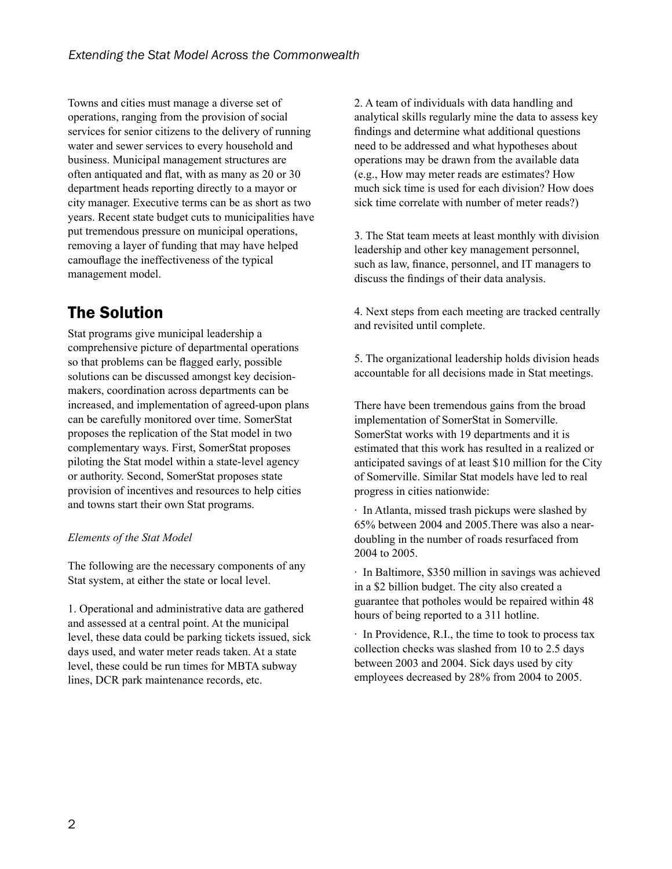Towns and cities must manage a diverse set of operations, ranging from the provision of social services for senior citizens to the delivery of running water and sewer services to every household and business. Municipal management structures are often antiquated and flat, with as many as  $20$  or  $30$ department heads reporting directly to a mayor or city manager. Executive terms can be as short as two years. Recent state budget cuts to municipalities have put tremendous pressure on municipal operations, removing a layer of funding that may have helped camouflage the ineffectiveness of the typical management model.

## The Solution

Stat programs give municipal leadership a comprehensive picture of departmental operations so that problems can be flagged early, possible solutions can be discussed amongst key decisionmakers, coordination across departments can be increased, and implementation of agreed-upon plans can be carefully monitored over time. SomerStat proposes the replication of the Stat model in two complementary ways. First, SomerStat proposes piloting the Stat model within a state-level agency or authority. Second, SomerStat proposes state provision of incentives and resources to help cities and towns start their own Stat programs.

#### *Elements of the Stat Model*

The following are the necessary components of any Stat system, at either the state or local level.

1. Operational and administrative data are gathered and assessed at a central point. At the municipal level, these data could be parking tickets issued, sick days used, and water meter reads taken. At a state level, these could be run times for MBTA subway lines, DCR park maintenance records, etc.

2. A team of individuals with data handling and analytical skills regularly mine the data to assess key findings and determine what additional questions need to be addressed and what hypotheses about operations may be drawn from the available data (e.g., How may meter reads are estimates? How much sick time is used for each division? How does sick time correlate with number of meter reads?)

3. The Stat team meets at least monthly with division leadership and other key management personnel, such as law, finance, personnel, and IT managers to discuss the findings of their data analysis.

4. Next steps from each meeting are tracked centrally and revisited until complete.

5. The organizational leadership holds division heads accountable for all decisions made in Stat meetings.

There have been tremendous gains from the broad implementation of SomerStat in Somerville. SomerStat works with 19 departments and it is estimated that this work has resulted in a realized or anticipated savings of at least \$10 million for the City of Somerville. Similar Stat models have led to real progress in cities nationwide:

 $\cdot$  In Atlanta, missed trash pickups were slashed by 65% between 2004 and 2005. There was also a neardoubling in the number of roads resurfaced from 2004 to 2005.

 $\cdot$  In Baltimore, \$350 million in savings was achieved in a \$2 billion budget. The city also created a guarantee that potholes would be repaired within 48 hours of being reported to a 311 hotline.

 $\cdot$  In Providence, R.I., the time to took to process tax collection checks was slashed from 10 to 2.5 days between 2003 and 2004. Sick days used by city employees decreased by 28% from 2004 to 2005.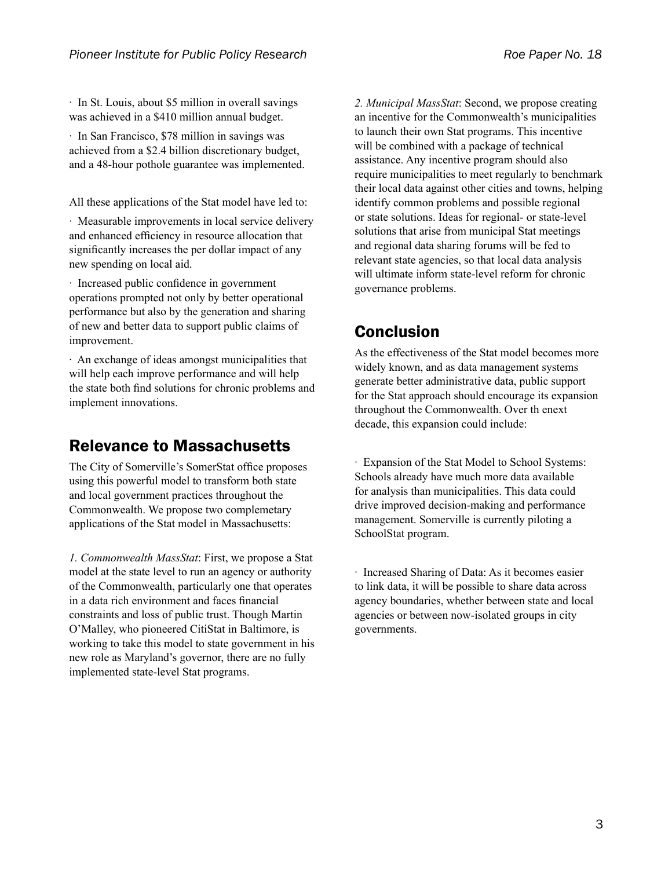$\cdot$  In St. Louis, about \$5 million in overall savings was achieved in a \$410 million annual budget.

 $\cdot$  In San Francisco, \$78 million in savings was achieved from a \$2.4 billion discretionary budget, and a 48-hour pothole guarantee was implemented.

All these applications of the Stat model have led to:

 $\cdot$  Measurable improvements in local service delivery and enhanced efficiency in resource allocation that significantly increases the per dollar impact of any new spending on local aid.

 $\cdot$  Increased public confidence in government operations prompted not only by better operational performance but also by the generation and sharing of new and better data to support public claims of improvement.

· An exchange of ideas amongst municipalities that will help each improve performance and will help the state both find solutions for chronic problems and implement innovations.

#### Relevance to Massachusetts

The City of Somerville's SomerStat office proposes using this powerful model to transform both state and local government practices throughout the Commonwealth. We propose two complemetary applications of the Stat model in Massachusetts:

*1. Commonwealth MassStat*: First, we propose a Stat model at the state level to run an agency or authority of the Commonwealth, particularly one that operates in a data rich environment and faces financial constraints and loss of public trust. Though Martin O'Malley, who pioneered CitiStat in Baltimore, is working to take this model to state government in his new role as Maryland's governor, there are no fully implemented state-level Stat programs.

*2. Municipal MassStat*: Second, we propose creating an incentive for the Commonwealth's municipalities to launch their own Stat programs. This incentive will be combined with a package of technical assistance. Any incentive program should also require municipalities to meet regularly to benchmark their local data against other cities and towns, helping identify common problems and possible regional or state solutions. Ideas for regional- or state-level solutions that arise from municipal Stat meetings and regional data sharing forums will be fed to relevant state agencies, so that local data analysis will ultimate inform state-level reform for chronic governance problems.

#### Conclusion

As the effectiveness of the Stat model becomes more widely known, and as data management systems generate better administrative data, public support for the Stat approach should encourage its expansion throughout the Commonwealth. Over th enext decade, this expansion could include:

Expansion of the Stat Model to School Systems: Schools already have much more data available for analysis than municipalities. This data could drive improved decision-making and performance management. Somerville is currently piloting a SchoolStat program.

 $\cdot$  Increased Sharing of Data: As it becomes easier to link data, it will be possible to share data across agency boundaries, whether between state and local agencies or between now-isolated groups in city governments.